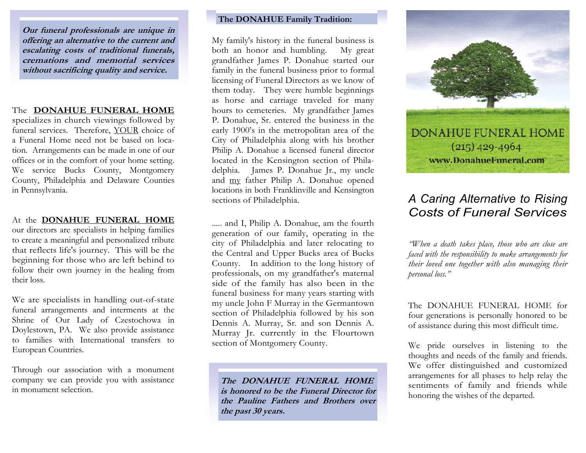Our funeral professionals are unique in offering an alternative to the current and escalating costs of traditional funerals, cremations and memorial services without sacrificing quality and service.

# The DONAHUE FUNERAL HOME

 specializes in church viewings followed by funeral services. Therefore, YOUR choice of a Funeral Home need not be based on location. Arrangements can be made in one of our offices or in the comfort of your home setting. We service Bucks County, Montgomery County, Philadelphia and Delaware Counties in Pennsylvania.

# At the DONAHUE FUNERAL HOME our directors are specialists in helping families to create a meaningful and personalized tribute that reflects life's journey. This will be the beginning for those who are left behind to follow their own journey in the healing from their loss.

We are specialists in handling out-of-state funeral arrangements and interments at the Shrine of Our Lady of Czestochowa in Doylestown, PA. We also provide assistance to families with International transfers to European Countries.

Through our association with a monument company we can provide you with assistance in monument selection.

# The DONAHUE Family Tradition:

My family's history in the funeral business is both an honor and humbling. My great grandfather James P. Donahue started our family in the funeral business prior to formal licensing of Funeral Directors as we know of them today. They were humble beginnings as horse and carriage traveled for many hours to cemeteries. My grandfather James P. Donahue, Sr. entered the business in the early 1900's in the metropolitan area of the City of Philadelphia along with his brother Philip A. Donahue a licensed funeral director located in the Kensington section of Philadelphia. James P. Donahue Jr., my uncle and my father Philip A. Donahue opened locations in both Franklinville and Kensington sections of Philadelphia.

..... and I, Philip A. Donahue, am the fourth generation of our family, operating in the city of Philadelphia and later relocating to the Central and Upper Bucks area of Bucks County. In addition to the long history of professionals, on my grandfather's maternal side of the family has also been in the funeral business for many years starting with my uncle John F Murray in the Germantown section of Philadelphia followed by his son Dennis A. Murray, Sr. and son Dennis A. Murray Jr. currently in the Flourtown section of Montgomery County.

The DONAHUE FUNERAL HOME is honored to be the Funeral Director for the Pauline Fathers and Brothers over the past 30 years.



# A Caring Alternative to Rising Costs of Funeral Services

"When a death takes place, those who are close are faced with the responsibility to make arrangements for their loved one together with also managing their personal loss."

The DONAHUE FUNERAL HOME for four generations is personally honored to be of assistance during this most difficult time.

We pride ourselves in listening to the thoughts and needs of the family and friends. We offer distinguished and customized arrangements for all phases to help relay the sentiments of family and friends while honoring the wishes of the departed.